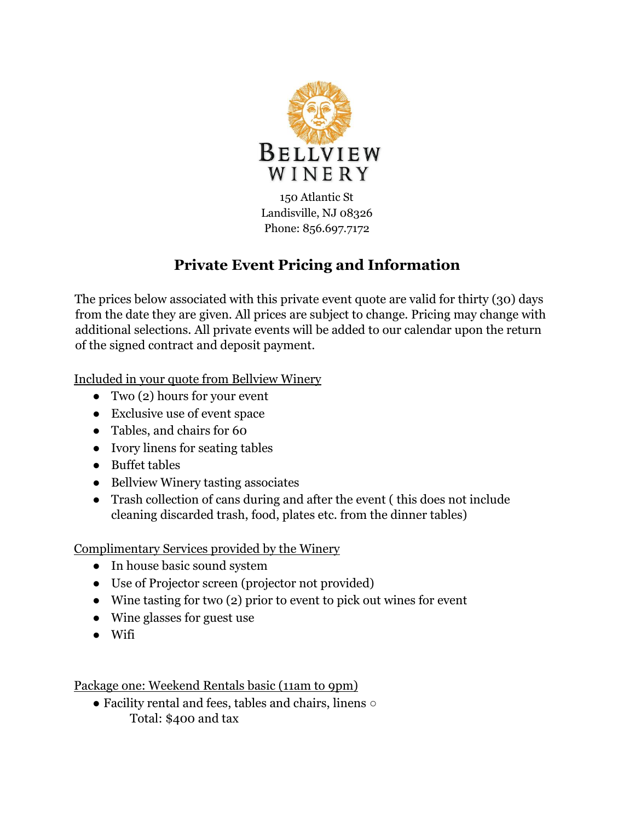

150 Atlantic St Landisville, NJ 08326 Phone: 856.697.7172

## **Private Event Pricing and Information**

The prices below associated with this private event quote are valid for thirty (30) days from the date they are given. All prices are subject to change. Pricing may change with additional selections. All private events will be added to our calendar upon the return of the signed contract and deposit payment.

Included in your quote from Bellview Winery

- Two  $(2)$  hours for your event
- Exclusive use of event space
- Tables, and chairs for 60
- Ivory linens for seating tables
- Buffet tables
- Bellview Winery tasting associates
- Trash collection of cans during and after the event ( this does not include cleaning discarded trash, food, plates etc. from the dinner tables)

Complimentary Services provided by the Winery

- In house basic sound system
- Use of Projector screen (projector not provided)
- Wine tasting for two (2) prior to event to pick out wines for event
- Wine glasses for guest use
- Wifi

Package one: Weekend Rentals basic (11am to 9pm)

● Facility rental and fees, tables and chairs, linens ○ Total: \$400 and tax